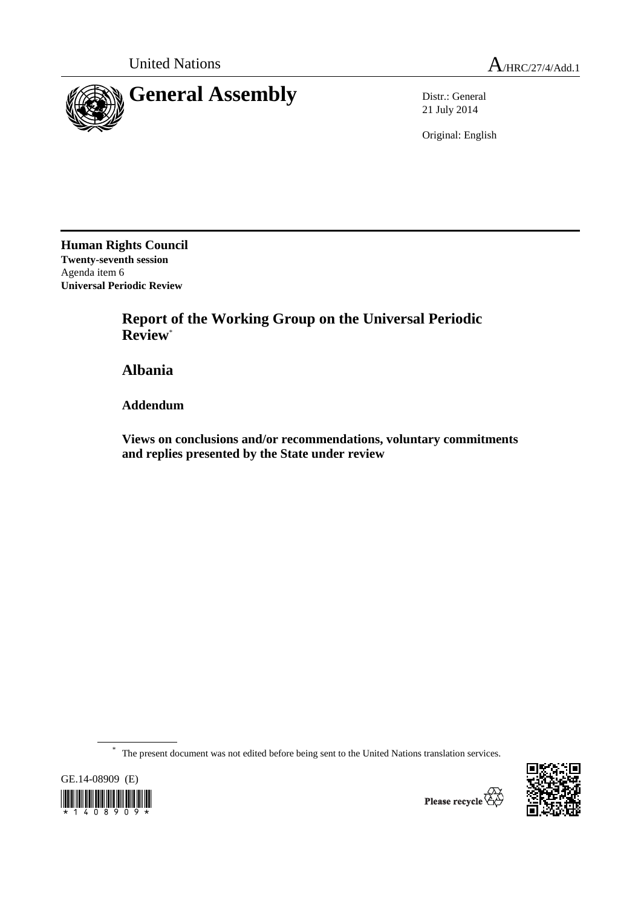

21 July 2014

Original: English

**Human Rights Council Twenty-seventh session**  Agenda item 6 **Universal Periodic Review** 

> **Report of the Working Group on the Universal Periodic Review**\*

 **Albania** 

 **Addendum** 

 **Views on conclusions and/or recommendations, voluntary commitments and replies presented by the State under review** 

\* The present document was not edited before being sent to the United Nations translation services.



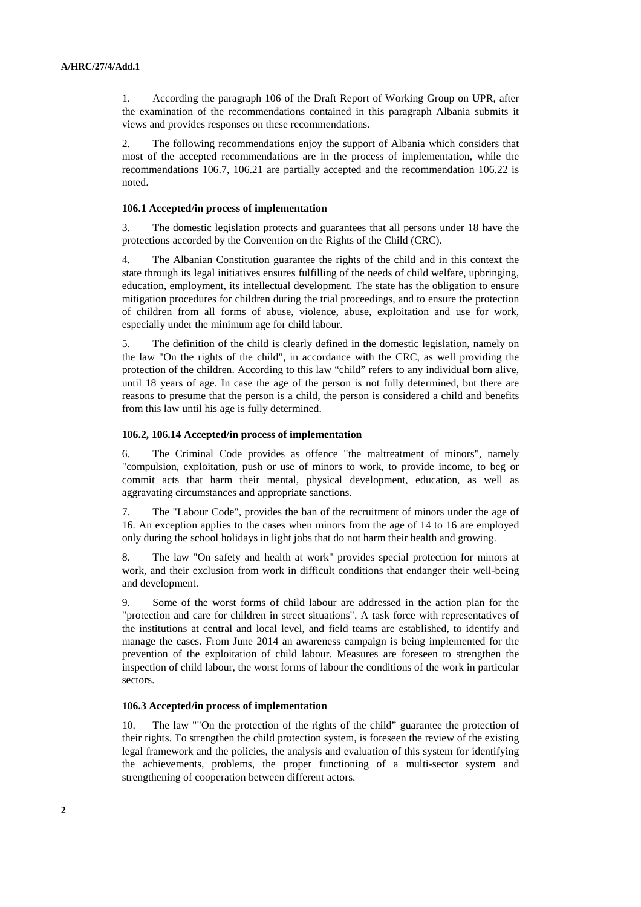1. According the paragraph 106 of the Draft Report of Working Group on UPR, after the examination of the recommendations contained in this paragraph Albania submits it views and provides responses on these recommendations.

2. The following recommendations enjoy the support of Albania which considers that most of the accepted recommendations are in the process of implementation, while the recommendations 106.7, 106.21 are partially accepted and the recommendation 106.22 is noted.

## **106.1 Accepted/in process of implementation**

3. The domestic legislation protects and guarantees that all persons under 18 have the protections accorded by the Convention on the Rights of the Child (CRC).

4. The Albanian Constitution guarantee the rights of the child and in this context the state through its legal initiatives ensures fulfilling of the needs of child welfare, upbringing, education, employment, its intellectual development. The state has the obligation to ensure mitigation procedures for children during the trial proceedings, and to ensure the protection of children from all forms of abuse, violence, abuse, exploitation and use for work, especially under the minimum age for child labour.

5. The definition of the child is clearly defined in the domestic legislation, namely on the law "On the rights of the child", in accordance with the CRC, as well providing the protection of the children. According to this law "child" refers to any individual born alive, until 18 years of age. In case the age of the person is not fully determined, but there are reasons to presume that the person is a child, the person is considered a child and benefits from this law until his age is fully determined.

## **106.2, 106.14 Accepted/in process of implementation**

6. The Criminal Code provides as offence "the maltreatment of minors", namely "compulsion, exploitation, push or use of minors to work, to provide income, to beg or commit acts that harm their mental, physical development, education, as well as aggravating circumstances and appropriate sanctions.

7. The "Labour Code", provides the ban of the recruitment of minors under the age of 16. An exception applies to the cases when minors from the age of 14 to 16 are employed only during the school holidays in light jobs that do not harm their health and growing.

8. The law "On safety and health at work" provides special protection for minors at work, and their exclusion from work in difficult conditions that endanger their well-being and development.

9. Some of the worst forms of child labour are addressed in the action plan for the "protection and care for children in street situations". A task force with representatives of the institutions at central and local level, and field teams are established, to identify and manage the cases. From June 2014 an awareness campaign is being implemented for the prevention of the exploitation of child labour. Measures are foreseen to strengthen the inspection of child labour, the worst forms of labour the conditions of the work in particular sectors.

## **106.3 Accepted/in process of implementation**

10. The law ""On the protection of the rights of the child" guarantee the protection of their rights. To strengthen the child protection system, is foreseen the review of the existing legal framework and the policies, the analysis and evaluation of this system for identifying the achievements, problems, the proper functioning of a multi-sector system and strengthening of cooperation between different actors.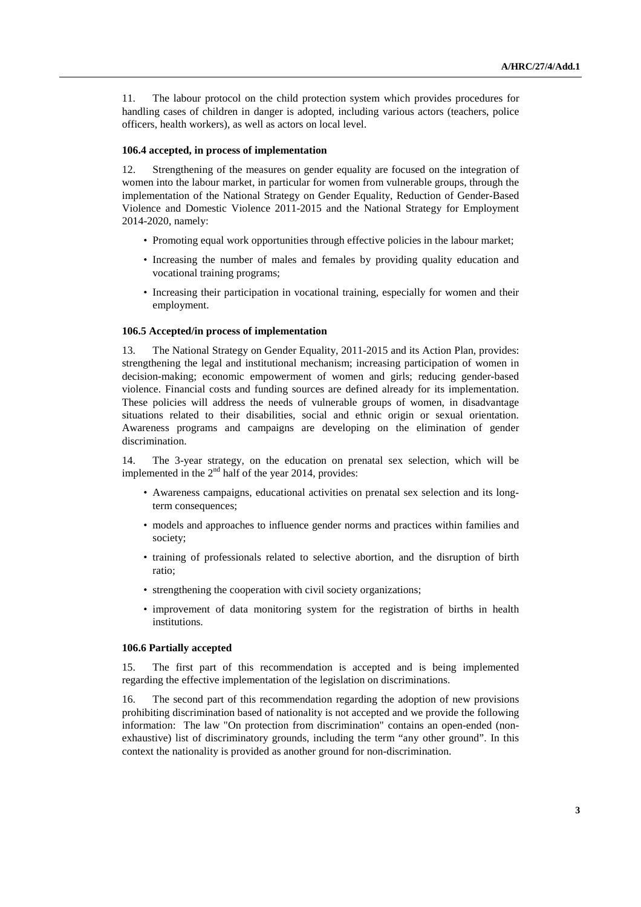11. The labour protocol on the child protection system which provides procedures for handling cases of children in danger is adopted, including various actors (teachers, police officers, health workers), as well as actors on local level.

#### **106.4 accepted, in process of implementation**

12. Strengthening of the measures on gender equality are focused on the integration of women into the labour market, in particular for women from vulnerable groups, through the implementation of the National Strategy on Gender Equality, Reduction of Gender-Based Violence and Domestic Violence 2011-2015 and the National Strategy for Employment 2014-2020, namely:

- Promoting equal work opportunities through effective policies in the labour market;
- Increasing the number of males and females by providing quality education and vocational training programs;
- Increasing their participation in vocational training, especially for women and their employment.

#### **106.5 Accepted/in process of implementation**

13. The National Strategy on Gender Equality, 2011-2015 and its Action Plan, provides: strengthening the legal and institutional mechanism; increasing participation of women in decision-making; economic empowerment of women and girls; reducing gender-based violence. Financial costs and funding sources are defined already for its implementation. These policies will address the needs of vulnerable groups of women, in disadvantage situations related to their disabilities, social and ethnic origin or sexual orientation. Awareness programs and campaigns are developing on the elimination of gender discrimination.

14. The 3-year strategy, on the education on prenatal sex selection, which will be implemented in the  $2<sup>nd</sup>$  half of the year 2014, provides:

- Awareness campaigns, educational activities on prenatal sex selection and its longterm consequences:
- models and approaches to influence gender norms and practices within families and society;
- training of professionals related to selective abortion, and the disruption of birth ratio;
- strengthening the cooperation with civil society organizations;
- improvement of data monitoring system for the registration of births in health institutions.

# **106.6 Partially accepted**

15. The first part of this recommendation is accepted and is being implemented regarding the effective implementation of the legislation on discriminations.

16. The second part of this recommendation regarding the adoption of new provisions prohibiting discrimination based of nationality is not accepted and we provide the following information: The law "On protection from discrimination" contains an open-ended (nonexhaustive) list of discriminatory grounds, including the term "any other ground". In this context the nationality is provided as another ground for non-discrimination.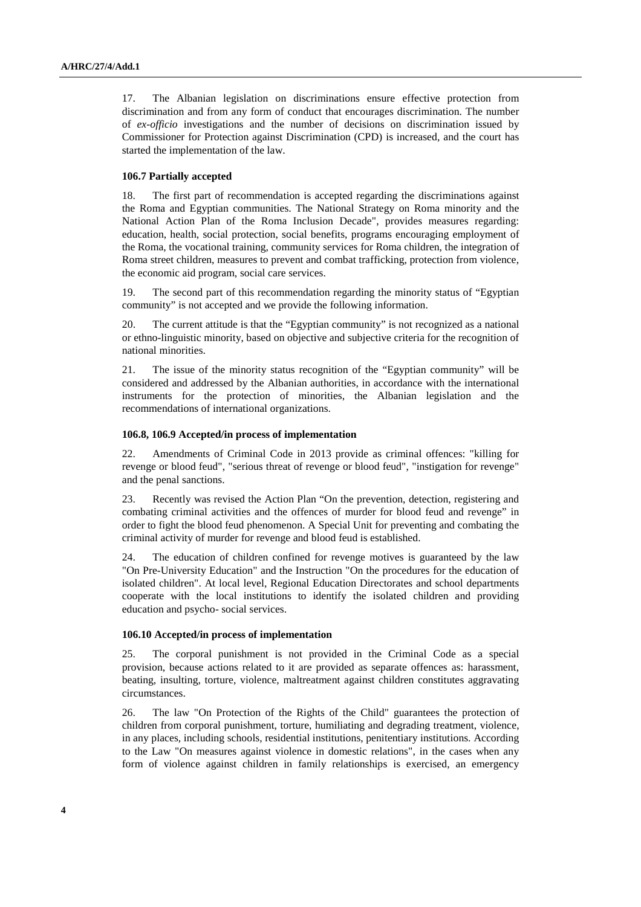17. The Albanian legislation on discriminations ensure effective protection from discrimination and from any form of conduct that encourages discrimination. The number of *ex-officio* investigations and the number of decisions on discrimination issued by Commissioner for Protection against Discrimination (CPD) is increased, and the court has started the implementation of the law.

# **106.7 Partially accepted**

18. The first part of recommendation is accepted regarding the discriminations against the Roma and Egyptian communities. The National Strategy on Roma minority and the National Action Plan of the Roma Inclusion Decade", provides measures regarding: education, health, social protection, social benefits, programs encouraging employment of the Roma, the vocational training, community services for Roma children, the integration of Roma street children, measures to prevent and combat trafficking, protection from violence, the economic aid program, social care services.

19. The second part of this recommendation regarding the minority status of "Egyptian community" is not accepted and we provide the following information.

20. The current attitude is that the "Egyptian community" is not recognized as a national or ethno-linguistic minority, based on objective and subjective criteria for the recognition of national minorities.

21. The issue of the minority status recognition of the "Egyptian community" will be considered and addressed by the Albanian authorities, in accordance with the international instruments for the protection of minorities, the Albanian legislation and the recommendations of international organizations.

#### **106.8, 106.9 Accepted/in process of implementation**

22. Amendments of Criminal Code in 2013 provide as criminal offences: "killing for revenge or blood feud", "serious threat of revenge or blood feud", "instigation for revenge" and the penal sanctions.

23. Recently was revised the Action Plan "On the prevention, detection, registering and combating criminal activities and the offences of murder for blood feud and revenge" in order to fight the blood feud phenomenon. A Special Unit for preventing and combating the criminal activity of murder for revenge and blood feud is established.

24. The education of children confined for revenge motives is guaranteed by the law "On Pre-University Education" and the Instruction "On the procedures for the education of isolated children". At local level, Regional Education Directorates and school departments cooperate with the local institutions to identify the isolated children and providing education and psycho- social services.

# **106.10 Accepted/in process of implementation**

25. The corporal punishment is not provided in the Criminal Code as a special provision, because actions related to it are provided as separate offences as: harassment, beating, insulting, torture, violence, maltreatment against children constitutes aggravating circumstances.

26. The law "On Protection of the Rights of the Child" guarantees the protection of children from corporal punishment, torture, humiliating and degrading treatment, violence, in any places, including schools, residential institutions, penitentiary institutions. According to the Law "On measures against violence in domestic relations", in the cases when any form of violence against children in family relationships is exercised, an emergency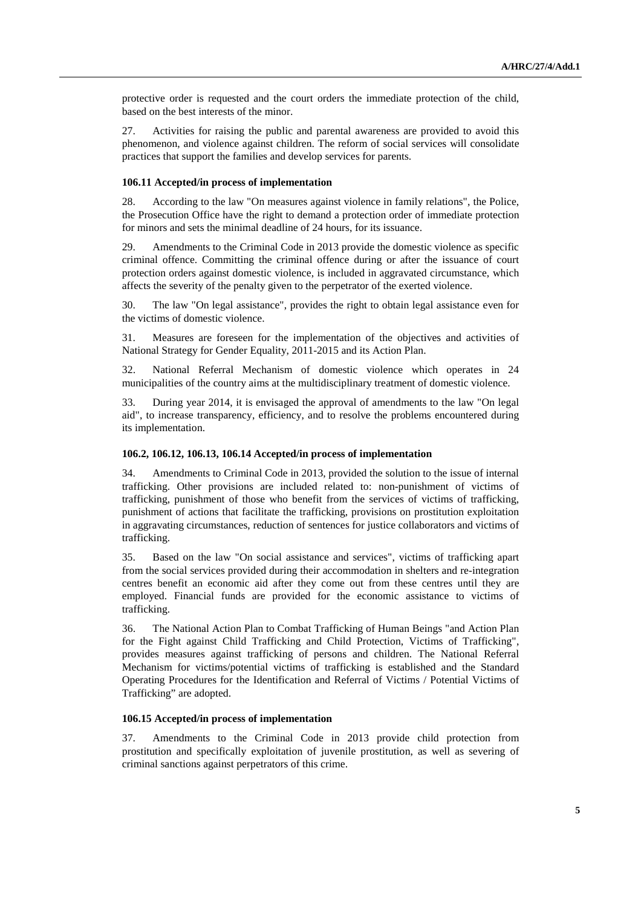protective order is requested and the court orders the immediate protection of the child, based on the best interests of the minor.

27. Activities for raising the public and parental awareness are provided to avoid this phenomenon, and violence against children. The reform of social services will consolidate practices that support the families and develop services for parents.

## **106.11 Accepted/in process of implementation**

28. According to the law "On measures against violence in family relations", the Police, the Prosecution Office have the right to demand a protection order of immediate protection for minors and sets the minimal deadline of 24 hours, for its issuance.

29. Amendments to the Criminal Code in 2013 provide the domestic violence as specific criminal offence. Committing the criminal offence during or after the issuance of court protection orders against domestic violence, is included in aggravated circumstance, which affects the severity of the penalty given to the perpetrator of the exerted violence.

30. The law "On legal assistance", provides the right to obtain legal assistance even for the victims of domestic violence.

31. Measures are foreseen for the implementation of the objectives and activities of National Strategy for Gender Equality, 2011-2015 and its Action Plan.

32. National Referral Mechanism of domestic violence which operates in 24 municipalities of the country aims at the multidisciplinary treatment of domestic violence.

33. During year 2014, it is envisaged the approval of amendments to the law "On legal aid", to increase transparency, efficiency, and to resolve the problems encountered during its implementation.

## **106.2, 106.12, 106.13, 106.14 Accepted/in process of implementation**

34. Amendments to Criminal Code in 2013, provided the solution to the issue of internal trafficking. Other provisions are included related to: non-punishment of victims of trafficking, punishment of those who benefit from the services of victims of trafficking, punishment of actions that facilitate the trafficking, provisions on prostitution exploitation in aggravating circumstances, reduction of sentences for justice collaborators and victims of trafficking.

35. Based on the law "On social assistance and services", victims of trafficking apart from the social services provided during their accommodation in shelters and re-integration centres benefit an economic aid after they come out from these centres until they are employed. Financial funds are provided for the economic assistance to victims of trafficking.

36. The National Action Plan to Combat Trafficking of Human Beings "and Action Plan for the Fight against Child Trafficking and Child Protection, Victims of Trafficking", provides measures against trafficking of persons and children. The National Referral Mechanism for victims/potential victims of trafficking is established and the Standard Operating Procedures for the Identification and Referral of Victims / Potential Victims of Trafficking" are adopted.

#### **106.15 Accepted/in process of implementation**

37. Amendments to the Criminal Code in 2013 provide child protection from prostitution and specifically exploitation of juvenile prostitution, as well as severing of criminal sanctions against perpetrators of this crime.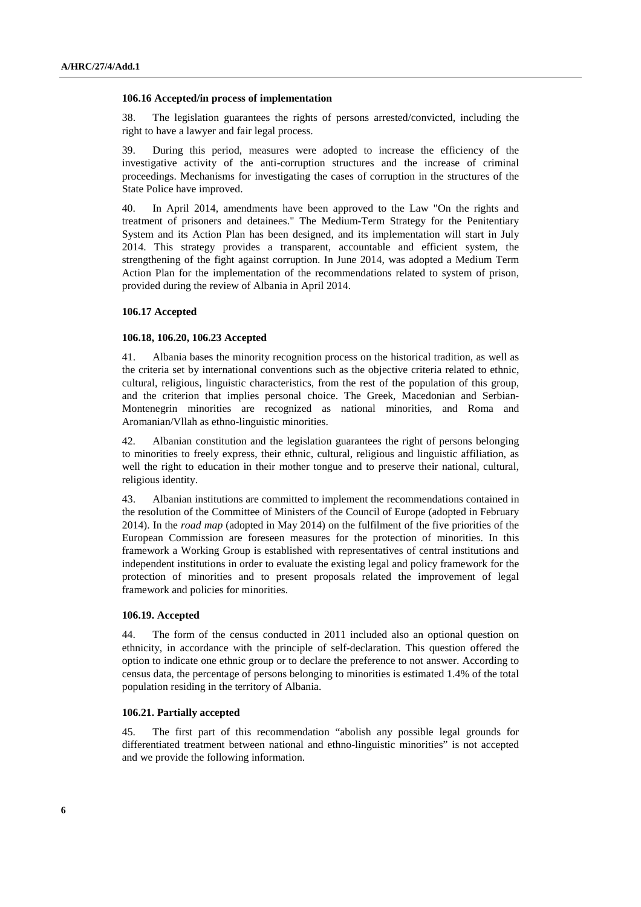#### **106.16 Accepted/in process of implementation**

38. The legislation guarantees the rights of persons arrested/convicted, including the right to have a lawyer and fair legal process.

39. During this period, measures were adopted to increase the efficiency of the investigative activity of the anti-corruption structures and the increase of criminal proceedings. Mechanisms for investigating the cases of corruption in the structures of the State Police have improved.

40. In April 2014, amendments have been approved to the Law "On the rights and treatment of prisoners and detainees." The Medium-Term Strategy for the Penitentiary System and its Action Plan has been designed, and its implementation will start in July 2014. This strategy provides a transparent, accountable and efficient system, the strengthening of the fight against corruption. In June 2014, was adopted a Medium Term Action Plan for the implementation of the recommendations related to system of prison, provided during the review of Albania in April 2014.

# **106.17 Accepted**

#### **106.18, 106.20, 106.23 Accepted**

41. Albania bases the minority recognition process on the historical tradition, as well as the criteria set by international conventions such as the objective criteria related to ethnic, cultural, religious, linguistic characteristics, from the rest of the population of this group, and the criterion that implies personal choice. The Greek, Macedonian and Serbian-Montenegrin minorities are recognized as national minorities, and Roma and Aromanian/Vllah as ethno-linguistic minorities.

42. Albanian constitution and the legislation guarantees the right of persons belonging to minorities to freely express, their ethnic, cultural, religious and linguistic affiliation, as well the right to education in their mother tongue and to preserve their national, cultural, religious identity.

43. Albanian institutions are committed to implement the recommendations contained in the resolution of the Committee of Ministers of the Council of Europe (adopted in February 2014). In the *road map* (adopted in May 2014) on the fulfilment of the five priorities of the European Commission are foreseen measures for the protection of minorities. In this framework a Working Group is established with representatives of central institutions and independent institutions in order to evaluate the existing legal and policy framework for the protection of minorities and to present proposals related the improvement of legal framework and policies for minorities.

#### **106.19. Accepted**

44. The form of the census conducted in 2011 included also an optional question on ethnicity, in accordance with the principle of self-declaration. This question offered the option to indicate one ethnic group or to declare the preference to not answer. According to census data, the percentage of persons belonging to minorities is estimated 1.4% of the total population residing in the territory of Albania.

#### **106.21. Partially accepted**

45. The first part of this recommendation "abolish any possible legal grounds for differentiated treatment between national and ethno-linguistic minorities" is not accepted and we provide the following information.